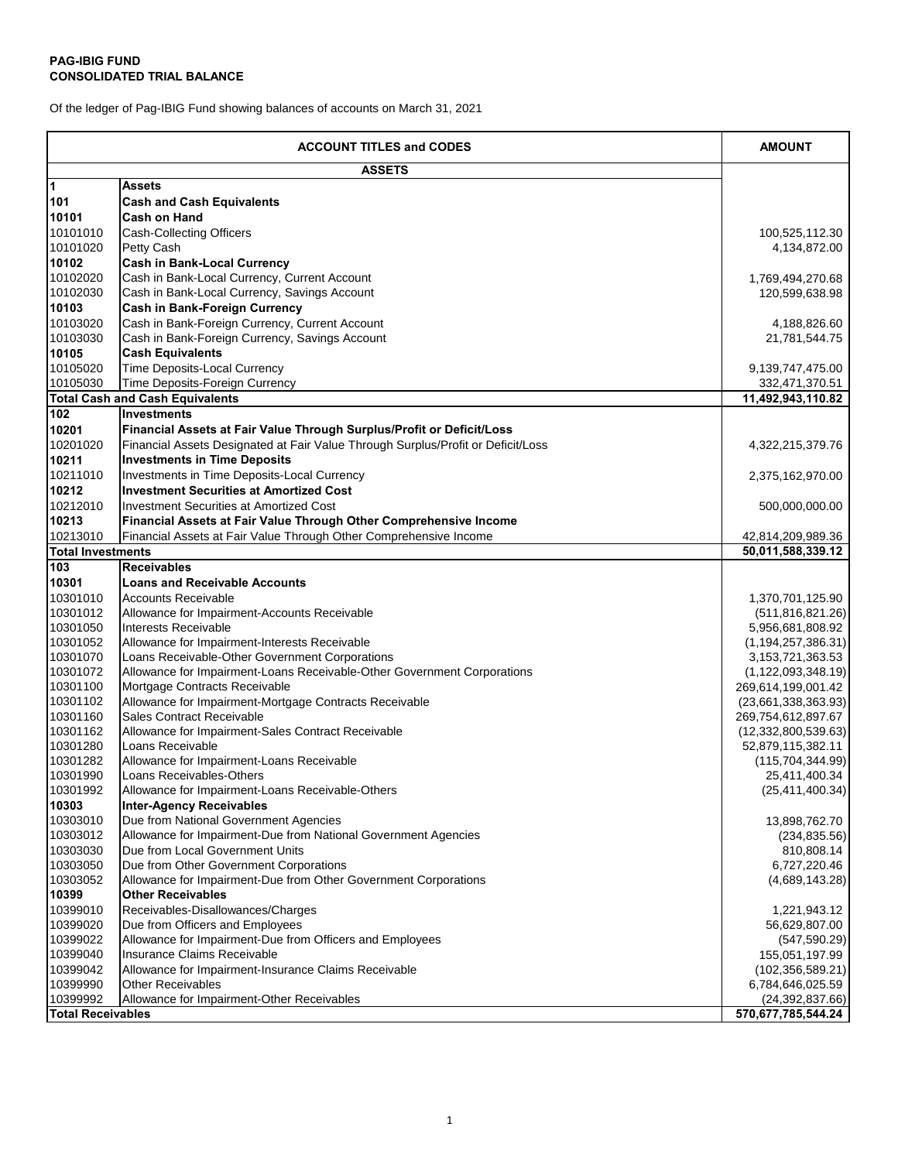## **PAG-IBIG FUND CONSOLIDATED TRIAL BALANCE**

Of the ledger of Pag-IBIG Fund showing balances of accounts on March 31, 2021

|                          | <b>ACCOUNT TITLES and CODES</b>                                                  | <b>AMOUNT</b>         |
|--------------------------|----------------------------------------------------------------------------------|-----------------------|
|                          | <b>ASSETS</b>                                                                    |                       |
| $\overline{1}$           | <b>Assets</b>                                                                    |                       |
| 101                      | <b>Cash and Cash Equivalents</b>                                                 |                       |
| 10101                    | <b>Cash on Hand</b>                                                              |                       |
| 10101010                 | <b>Cash-Collecting Officers</b>                                                  | 100,525,112.30        |
| 10101020                 | Petty Cash                                                                       | 4,134,872.00          |
| 10102                    | <b>Cash in Bank-Local Currency</b>                                               |                       |
| 10102020                 | Cash in Bank-Local Currency, Current Account                                     | 1,769,494,270.68      |
| 10102030                 | Cash in Bank-Local Currency, Savings Account                                     | 120,599,638.98        |
| 10103                    | <b>Cash in Bank-Foreign Currency</b>                                             |                       |
| 10103020                 | Cash in Bank-Foreign Currency, Current Account                                   | 4,188,826.60          |
| 10103030                 | Cash in Bank-Foreign Currency, Savings Account                                   | 21,781,544.75         |
| 10105                    | <b>Cash Equivalents</b>                                                          |                       |
| 10105020                 | <b>Time Deposits-Local Currency</b>                                              | 9,139,747,475.00      |
| 10105030                 | Time Deposits-Foreign Currency                                                   | 332,471,370.51        |
|                          | <b>Total Cash and Cash Equivalents</b>                                           | 11,492,943,110.82     |
| 102                      | Investments                                                                      |                       |
| 10201                    | Financial Assets at Fair Value Through Surplus/Profit or Deficit/Loss            |                       |
| 10201020                 | Financial Assets Designated at Fair Value Through Surplus/Profit or Deficit/Loss | 4,322,215,379.76      |
| 10211                    | <b>Investments in Time Deposits</b>                                              |                       |
| 10211010                 | Investments in Time Deposits-Local Currency                                      | 2,375,162,970.00      |
| 10212                    | <b>Investment Securities at Amortized Cost</b>                                   |                       |
|                          |                                                                                  |                       |
| 10212010                 | <b>Investment Securities at Amortized Cost</b>                                   | 500,000,000.00        |
| 10213                    | Financial Assets at Fair Value Through Other Comprehensive Income                |                       |
| 10213010                 | Financial Assets at Fair Value Through Other Comprehensive Income                | 42,814,209,989.36     |
| <b>Total Investments</b> |                                                                                  | 50,011,588,339.12     |
| 103                      | <b>Receivables</b>                                                               |                       |
| 10301                    | <b>Loans and Receivable Accounts</b>                                             |                       |
| 10301010                 | <b>Accounts Receivable</b>                                                       | 1,370,701,125.90      |
| 10301012                 | Allowance for Impairment-Accounts Receivable                                     | (511, 816, 821.26)    |
| 10301050                 | Interests Receivable                                                             | 5,956,681,808.92      |
| 10301052                 | Allowance for Impairment-Interests Receivable                                    | (1, 194, 257, 386.31) |
| 10301070                 | Loans Receivable-Other Government Corporations                                   | 3, 153, 721, 363. 53  |
| 10301072                 | Allowance for Impairment-Loans Receivable-Other Government Corporations          | (1, 122, 093, 348.19) |
| 10301100                 | Mortgage Contracts Receivable                                                    | 269,614,199,001.42    |
| 10301102                 | Allowance for Impairment-Mortgage Contracts Receivable                           | (23,661,338,363.93)   |
| 10301160                 | <b>Sales Contract Receivable</b>                                                 | 269,754,612,897.67    |
| 10301162                 | Allowance for Impairment-Sales Contract Receivable                               | (12,332,800,539.63)   |
| 10301280                 | Loans Receivable                                                                 | 52,879,115,382.11     |
| 10301282                 | Allowance for Impairment-Loans Receivable                                        | (115, 704, 344.99)    |
| 10301990                 | <b>Loans Receivables-Others</b>                                                  | 25,411,400.34         |
| 10301992                 | Allowance for Impairment-Loans Receivable-Others                                 | (25, 411, 400.34)     |
| 10303                    | <b>Inter-Agency Receivables</b>                                                  |                       |
| 10303010                 | Due from National Government Agencies                                            | 13,898,762.70         |
| 10303012                 | Allowance for Impairment-Due from National Government Agencies                   | (234, 835.56)         |
| 10303030                 | Due from Local Government Units                                                  | 810,808.14            |
| 10303050                 | Due from Other Government Corporations                                           | 6,727,220.46          |
| 10303052                 | Allowance for Impairment-Due from Other Government Corporations                  | (4,689,143.28)        |
| 10399                    | <b>Other Receivables</b>                                                         |                       |
| 10399010                 | Receivables-Disallowances/Charges                                                | 1,221,943.12          |
| 10399020                 | Due from Officers and Employees                                                  | 56,629,807.00         |
| 10399022                 | Allowance for Impairment-Due from Officers and Employees                         | (547, 590.29)         |
| 10399040                 | Insurance Claims Receivable                                                      | 155,051,197.99        |
| 10399042                 | Allowance for Impairment-Insurance Claims Receivable                             | (102, 356, 589.21)    |
| 10399990                 | <b>Other Receivables</b>                                                         | 6,784,646,025.59      |
| 10399992                 | Allowance for Impairment-Other Receivables                                       | (24, 392, 837.66)     |
| <b>Total Receivables</b> |                                                                                  | 570,677,785,544.24    |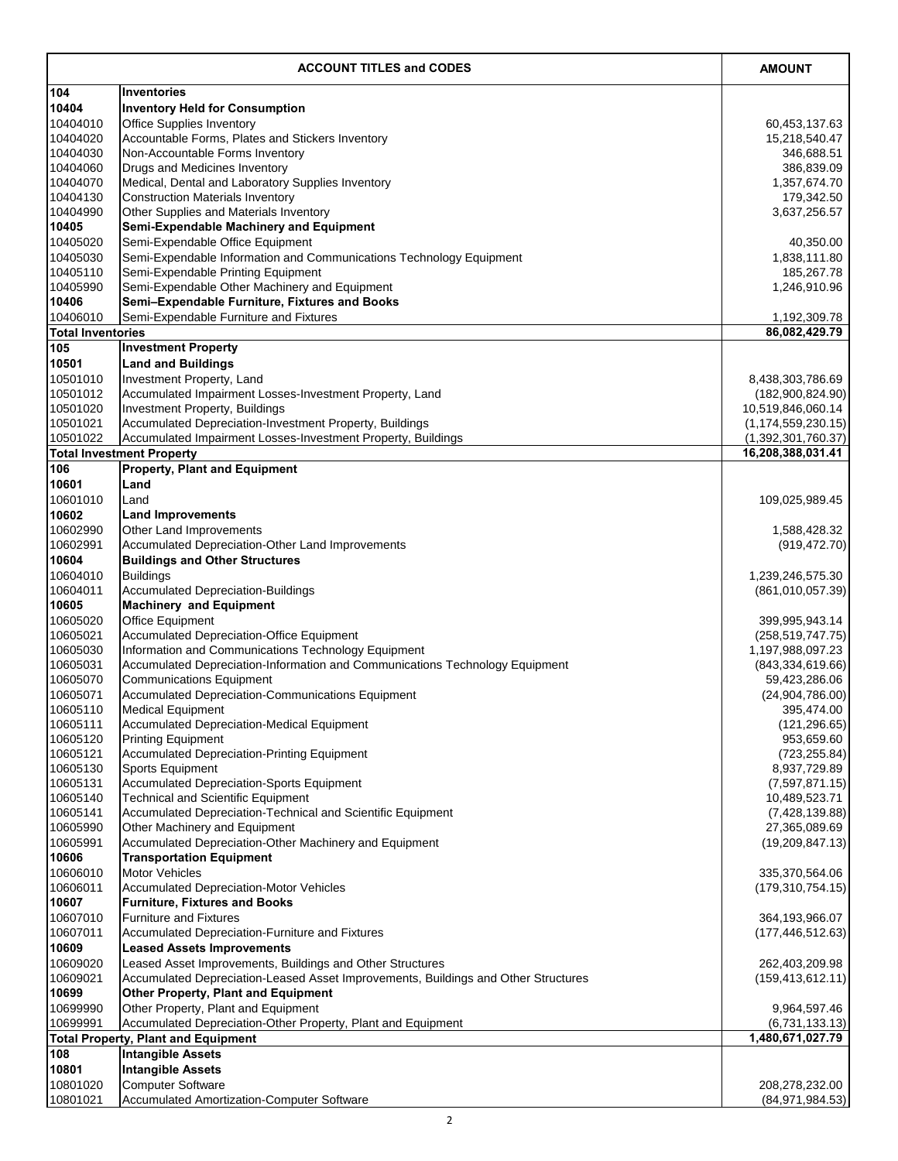|                          | <b>ACCOUNT TITLES and CODES</b>                                                                            | <b>AMOUNT</b>                        |
|--------------------------|------------------------------------------------------------------------------------------------------------|--------------------------------------|
| 104                      | <b>Inventories</b>                                                                                         |                                      |
| 10404                    | <b>Inventory Held for Consumption</b>                                                                      |                                      |
| 10404010                 | <b>Office Supplies Inventory</b>                                                                           | 60,453,137.63                        |
| 10404020                 | Accountable Forms, Plates and Stickers Inventory                                                           | 15,218,540.47                        |
| 10404030                 | Non-Accountable Forms Inventory                                                                            | 346,688.51                           |
| 10404060<br>10404070     | Drugs and Medicines Inventory<br>Medical, Dental and Laboratory Supplies Inventory                         | 386,839.09<br>1,357,674.70           |
| 10404130                 | <b>Construction Materials Inventory</b>                                                                    | 179,342.50                           |
| 10404990                 | Other Supplies and Materials Inventory                                                                     | 3,637,256.57                         |
| 10405                    | <b>Semi-Expendable Machinery and Equipment</b>                                                             |                                      |
| 10405020                 | Semi-Expendable Office Equipment                                                                           | 40,350.00                            |
| 10405030                 | Semi-Expendable Information and Communications Technology Equipment                                        | 1,838,111.80                         |
| 10405110                 | Semi-Expendable Printing Equipment                                                                         | 185,267.78                           |
| 10405990                 | Semi-Expendable Other Machinery and Equipment                                                              | 1,246,910.96                         |
| 10406<br>10406010        | Semi-Expendable Furniture, Fixtures and Books<br>Semi-Expendable Furniture and Fixtures                    |                                      |
| <b>Total Inventories</b> |                                                                                                            | 1,192,309.78<br>86,082,429.79        |
| 105                      | <b>Investment Property</b>                                                                                 |                                      |
| 10501                    | <b>Land and Buildings</b>                                                                                  |                                      |
| 10501010                 | Investment Property, Land                                                                                  | 8,438,303,786.69                     |
| 10501012                 | Accumulated Impairment Losses-Investment Property, Land                                                    | (182,900,824.90)                     |
| 10501020                 | <b>Investment Property, Buildings</b>                                                                      | 10,519,846,060.14                    |
| 10501021                 | Accumulated Depreciation-Investment Property, Buildings                                                    | (1, 174, 559, 230.15)                |
| 10501022                 | Accumulated Impairment Losses-Investment Property, Buildings                                               | (1,392,301,760.37)                   |
|                          | <b>Total Investment Property</b>                                                                           | 16,208,388,031.41                    |
| 106<br>10601             | <b>Property, Plant and Equipment</b><br>Land                                                               |                                      |
| 10601010                 | Land                                                                                                       | 109,025,989.45                       |
| 10602                    | <b>Land Improvements</b>                                                                                   |                                      |
| 10602990                 | <b>Other Land Improvements</b>                                                                             | 1,588,428.32                         |
| 10602991                 | Accumulated Depreciation-Other Land Improvements                                                           | (919, 472.70)                        |
| 10604                    | <b>Buildings and Other Structures</b>                                                                      |                                      |
| 10604010                 | <b>Buildings</b>                                                                                           | 1,239,246,575.30                     |
| 10604011                 | <b>Accumulated Depreciation-Buildings</b>                                                                  | (861,010,057.39)                     |
| 10605                    | <b>Machinery and Equipment</b>                                                                             |                                      |
| 10605020<br>10605021     | <b>Office Equipment</b><br><b>Accumulated Depreciation-Office Equipment</b>                                | 399,995,943.14<br>(258, 519, 747.75) |
| 10605030                 | Information and Communications Technology Equipment                                                        | 1,197,988,097.23                     |
| 10605031                 | Accumulated Depreciation-Information and Communications Technology Equipment                               | (843, 334, 619.66)                   |
| 10605070                 | <b>Communications Equipment</b>                                                                            | 59,423,286.06                        |
| 10605071                 | Accumulated Depreciation-Communications Equipment                                                          | (24,904,786.00)                      |
| 10605110                 | <b>Medical Equipment</b>                                                                                   | 395,474.00                           |
| 10605111                 | <b>Accumulated Depreciation-Medical Equipment</b>                                                          | (121, 296.65)                        |
| 10605120<br>10605121     | <b>Printing Equipment</b><br><b>Accumulated Depreciation-Printing Equipment</b>                            | 953,659.60<br>(723, 255.84)          |
| 10605130                 | Sports Equipment                                                                                           | 8,937,729.89                         |
| 10605131                 | <b>Accumulated Depreciation-Sports Equipment</b>                                                           | (7,597,871.15)                       |
| 10605140                 | <b>Technical and Scientific Equipment</b>                                                                  | 10,489,523.71                        |
| 10605141                 | Accumulated Depreciation-Technical and Scientific Equipment                                                | (7,428,139.88)                       |
| 10605990                 | Other Machinery and Equipment                                                                              | 27,365,089.69                        |
| 10605991                 | Accumulated Depreciation-Other Machinery and Equipment                                                     | (19, 209, 847.13)                    |
| 10606                    | <b>Transportation Equipment</b>                                                                            |                                      |
| 10606010<br>10606011     | <b>Motor Vehicles</b>                                                                                      | 335,370,564.06                       |
| 10607                    | <b>Accumulated Depreciation-Motor Vehicles</b><br><b>Furniture, Fixtures and Books</b>                     | (179, 310, 754.15)                   |
| 10607010                 | <b>Furniture and Fixtures</b>                                                                              | 364,193,966.07                       |
| 10607011                 | Accumulated Depreciation-Furniture and Fixtures                                                            | (177, 446, 512.63)                   |
| 10609                    | <b>Leased Assets Improvements</b>                                                                          |                                      |
| 10609020                 | Leased Asset Improvements, Buildings and Other Structures                                                  | 262,403,209.98                       |
| 10609021                 | Accumulated Depreciation-Leased Asset Improvements, Buildings and Other Structures                         | (159, 413, 612.11)                   |
| 10699                    | <b>Other Property, Plant and Equipment</b>                                                                 |                                      |
| 10699990                 | Other Property, Plant and Equipment                                                                        | 9,964,597.46                         |
| 10699991                 | Accumulated Depreciation-Other Property, Plant and Equipment<br><b>Total Property, Plant and Equipment</b> | (6,731,133.13)<br>1,480,671,027.79   |
| 108                      | <b>Intangible Assets</b>                                                                                   |                                      |
| 10801                    | <b>Intangible Assets</b>                                                                                   |                                      |
| 10801020                 | <b>Computer Software</b>                                                                                   | 208,278,232.00                       |
| 10801021                 | <b>Accumulated Amortization-Computer Software</b>                                                          | (84, 971, 984.53)                    |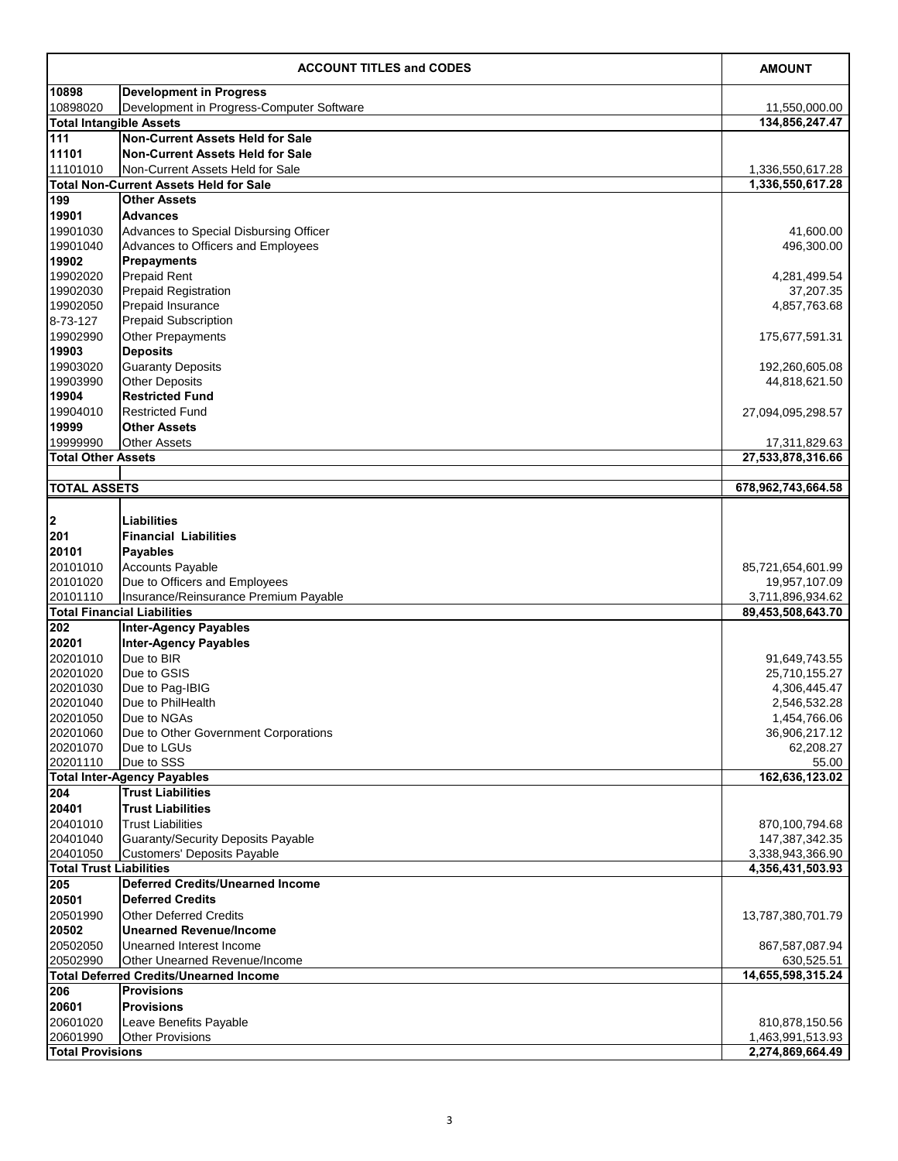| 10898<br><b>Development in Progress</b><br>10898020<br>Development in Progress-Computer Software<br>11,550,000.00<br>134,856,247.47<br><b>Total Intangible Assets</b><br>111<br><b>Non-Current Assets Held for Sale</b><br><b>Non-Current Assets Held for Sale</b><br>11101<br>11101010<br>Non-Current Assets Held for Sale<br>1,336,550,617.28<br><b>Total Non-Current Assets Held for Sale</b><br>1,336,550,617.28<br>199<br><b>Other Assets</b><br>19901<br><b>Advances</b><br>19901030<br>Advances to Special Disbursing Officer<br>41,600.00<br>19901040<br>Advances to Officers and Employees<br>496,300.00<br>19902<br><b>Prepayments</b><br>19902020<br><b>Prepaid Rent</b><br>4,281,499.54<br><b>Prepaid Registration</b><br>19902030<br>37,207.35<br><b>Prepaid Insurance</b><br>19902050<br>4,857,763.68<br><b>Prepaid Subscription</b><br>8-73-127<br>19902990<br><b>Other Prepayments</b><br>175,677,591.31<br><b>Deposits</b><br>19903<br>19903020<br><b>Guaranty Deposits</b><br>192,260,605.08<br>19903990<br><b>Other Deposits</b><br>44,818,621.50<br><b>Restricted Fund</b><br>19904<br>19904010<br><b>Restricted Fund</b><br>27,094,095,298.57<br>19999<br><b>Other Assets</b><br>19999990<br><b>Other Assets</b><br>17,311,829.63<br><b>Total Other Assets</b><br>27,533,878,316.66<br>678,962,743,664.58<br><b>TOTAL ASSETS</b><br> 2 <br><b>Liabilities</b><br>201<br><b>Financial Liabilities</b><br>20101<br><b>Payables</b><br>20101010<br><b>Accounts Payable</b><br>85,721,654,601.99<br>20101020<br>Due to Officers and Employees<br>19,957,107.09<br>20101110<br>Insurance/Reinsurance Premium Payable<br>3,711,896,934.62<br><b>Total Financial Liabilities</b><br>89,453,508,643.70<br>202<br><b>Inter-Agency Payables</b><br><b>Inter-Agency Payables</b><br>20201<br>Due to BIR<br>20201010<br>91,649,743.55<br>Due to GSIS<br>20201020<br>25,710,155.27<br>20201030<br>Due to Pag-IBIG<br>4,306,445.47<br>20201040<br>Due to PhilHealth<br>2,546,532.28<br>20201050<br>Due to NGAs<br>1,454,766.06<br>20201060<br>Due to Other Government Corporations<br>36,906,217.12<br>20201070<br>Due to LGUs<br>62,208.27<br>20201110<br>Due to SSS<br>55.00<br>162,636,123.02<br><b>Total Inter-Agency Payables</b><br>204<br><b>Trust Liabilities</b><br>20401<br><b>Trust Liabilities</b><br>20401010<br><b>Trust Liabilities</b><br>870,100,794.68<br>20401040<br><b>Guaranty/Security Deposits Payable</b><br>147,387,342.35<br>20401050<br><b>Customers' Deposits Payable</b><br>3,338,943,366.90<br><b>Total Trust Liabilities</b><br>4,356,431,503.93<br><b>Deferred Credits/Unearned Income</b><br>205<br><b>Deferred Credits</b><br>20501<br>20501990<br><b>Other Deferred Credits</b><br>13,787,380,701.79<br><b>Unearned Revenue/Income</b><br>20502<br>20502050<br>Unearned Interest Income<br>867,587,087.94<br>20502990<br>Other Unearned Revenue/Income<br>630,525.51<br><b>Total Deferred Credits/Unearned Income</b><br>14,655,598,315.24<br>206<br><b>Provisions</b><br><b>Provisions</b><br>20601<br>20601020<br>Leave Benefits Payable<br>810,878,150.56<br><b>Other Provisions</b><br>20601990<br>1,463,991,513.93<br>2,274,869,664.49<br><b>Total Provisions</b> | <b>ACCOUNT TITLES and CODES</b> |  | <b>AMOUNT</b> |
|------------------------------------------------------------------------------------------------------------------------------------------------------------------------------------------------------------------------------------------------------------------------------------------------------------------------------------------------------------------------------------------------------------------------------------------------------------------------------------------------------------------------------------------------------------------------------------------------------------------------------------------------------------------------------------------------------------------------------------------------------------------------------------------------------------------------------------------------------------------------------------------------------------------------------------------------------------------------------------------------------------------------------------------------------------------------------------------------------------------------------------------------------------------------------------------------------------------------------------------------------------------------------------------------------------------------------------------------------------------------------------------------------------------------------------------------------------------------------------------------------------------------------------------------------------------------------------------------------------------------------------------------------------------------------------------------------------------------------------------------------------------------------------------------------------------------------------------------------------------------------------------------------------------------------------------------------------------------------------------------------------------------------------------------------------------------------------------------------------------------------------------------------------------------------------------------------------------------------------------------------------------------------------------------------------------------------------------------------------------------------------------------------------------------------------------------------------------------------------------------------------------------------------------------------------------------------------------------------------------------------------------------------------------------------------------------------------------------------------------------------------------------------------------------------------------------------------------------------------------------------------------------------------------------------------------------------------------------------------------------------------------------------------------------------------------------------------------------------------------------------------------------------------------------------------------------------------------|---------------------------------|--|---------------|
|                                                                                                                                                                                                                                                                                                                                                                                                                                                                                                                                                                                                                                                                                                                                                                                                                                                                                                                                                                                                                                                                                                                                                                                                                                                                                                                                                                                                                                                                                                                                                                                                                                                                                                                                                                                                                                                                                                                                                                                                                                                                                                                                                                                                                                                                                                                                                                                                                                                                                                                                                                                                                                                                                                                                                                                                                                                                                                                                                                                                                                                                                                                                                                                                                  |                                 |  |               |
|                                                                                                                                                                                                                                                                                                                                                                                                                                                                                                                                                                                                                                                                                                                                                                                                                                                                                                                                                                                                                                                                                                                                                                                                                                                                                                                                                                                                                                                                                                                                                                                                                                                                                                                                                                                                                                                                                                                                                                                                                                                                                                                                                                                                                                                                                                                                                                                                                                                                                                                                                                                                                                                                                                                                                                                                                                                                                                                                                                                                                                                                                                                                                                                                                  |                                 |  |               |
|                                                                                                                                                                                                                                                                                                                                                                                                                                                                                                                                                                                                                                                                                                                                                                                                                                                                                                                                                                                                                                                                                                                                                                                                                                                                                                                                                                                                                                                                                                                                                                                                                                                                                                                                                                                                                                                                                                                                                                                                                                                                                                                                                                                                                                                                                                                                                                                                                                                                                                                                                                                                                                                                                                                                                                                                                                                                                                                                                                                                                                                                                                                                                                                                                  |                                 |  |               |
|                                                                                                                                                                                                                                                                                                                                                                                                                                                                                                                                                                                                                                                                                                                                                                                                                                                                                                                                                                                                                                                                                                                                                                                                                                                                                                                                                                                                                                                                                                                                                                                                                                                                                                                                                                                                                                                                                                                                                                                                                                                                                                                                                                                                                                                                                                                                                                                                                                                                                                                                                                                                                                                                                                                                                                                                                                                                                                                                                                                                                                                                                                                                                                                                                  |                                 |  |               |
|                                                                                                                                                                                                                                                                                                                                                                                                                                                                                                                                                                                                                                                                                                                                                                                                                                                                                                                                                                                                                                                                                                                                                                                                                                                                                                                                                                                                                                                                                                                                                                                                                                                                                                                                                                                                                                                                                                                                                                                                                                                                                                                                                                                                                                                                                                                                                                                                                                                                                                                                                                                                                                                                                                                                                                                                                                                                                                                                                                                                                                                                                                                                                                                                                  |                                 |  |               |
|                                                                                                                                                                                                                                                                                                                                                                                                                                                                                                                                                                                                                                                                                                                                                                                                                                                                                                                                                                                                                                                                                                                                                                                                                                                                                                                                                                                                                                                                                                                                                                                                                                                                                                                                                                                                                                                                                                                                                                                                                                                                                                                                                                                                                                                                                                                                                                                                                                                                                                                                                                                                                                                                                                                                                                                                                                                                                                                                                                                                                                                                                                                                                                                                                  |                                 |  |               |
|                                                                                                                                                                                                                                                                                                                                                                                                                                                                                                                                                                                                                                                                                                                                                                                                                                                                                                                                                                                                                                                                                                                                                                                                                                                                                                                                                                                                                                                                                                                                                                                                                                                                                                                                                                                                                                                                                                                                                                                                                                                                                                                                                                                                                                                                                                                                                                                                                                                                                                                                                                                                                                                                                                                                                                                                                                                                                                                                                                                                                                                                                                                                                                                                                  |                                 |  |               |
|                                                                                                                                                                                                                                                                                                                                                                                                                                                                                                                                                                                                                                                                                                                                                                                                                                                                                                                                                                                                                                                                                                                                                                                                                                                                                                                                                                                                                                                                                                                                                                                                                                                                                                                                                                                                                                                                                                                                                                                                                                                                                                                                                                                                                                                                                                                                                                                                                                                                                                                                                                                                                                                                                                                                                                                                                                                                                                                                                                                                                                                                                                                                                                                                                  |                                 |  |               |
|                                                                                                                                                                                                                                                                                                                                                                                                                                                                                                                                                                                                                                                                                                                                                                                                                                                                                                                                                                                                                                                                                                                                                                                                                                                                                                                                                                                                                                                                                                                                                                                                                                                                                                                                                                                                                                                                                                                                                                                                                                                                                                                                                                                                                                                                                                                                                                                                                                                                                                                                                                                                                                                                                                                                                                                                                                                                                                                                                                                                                                                                                                                                                                                                                  |                                 |  |               |
|                                                                                                                                                                                                                                                                                                                                                                                                                                                                                                                                                                                                                                                                                                                                                                                                                                                                                                                                                                                                                                                                                                                                                                                                                                                                                                                                                                                                                                                                                                                                                                                                                                                                                                                                                                                                                                                                                                                                                                                                                                                                                                                                                                                                                                                                                                                                                                                                                                                                                                                                                                                                                                                                                                                                                                                                                                                                                                                                                                                                                                                                                                                                                                                                                  |                                 |  |               |
|                                                                                                                                                                                                                                                                                                                                                                                                                                                                                                                                                                                                                                                                                                                                                                                                                                                                                                                                                                                                                                                                                                                                                                                                                                                                                                                                                                                                                                                                                                                                                                                                                                                                                                                                                                                                                                                                                                                                                                                                                                                                                                                                                                                                                                                                                                                                                                                                                                                                                                                                                                                                                                                                                                                                                                                                                                                                                                                                                                                                                                                                                                                                                                                                                  |                                 |  |               |
|                                                                                                                                                                                                                                                                                                                                                                                                                                                                                                                                                                                                                                                                                                                                                                                                                                                                                                                                                                                                                                                                                                                                                                                                                                                                                                                                                                                                                                                                                                                                                                                                                                                                                                                                                                                                                                                                                                                                                                                                                                                                                                                                                                                                                                                                                                                                                                                                                                                                                                                                                                                                                                                                                                                                                                                                                                                                                                                                                                                                                                                                                                                                                                                                                  |                                 |  |               |
|                                                                                                                                                                                                                                                                                                                                                                                                                                                                                                                                                                                                                                                                                                                                                                                                                                                                                                                                                                                                                                                                                                                                                                                                                                                                                                                                                                                                                                                                                                                                                                                                                                                                                                                                                                                                                                                                                                                                                                                                                                                                                                                                                                                                                                                                                                                                                                                                                                                                                                                                                                                                                                                                                                                                                                                                                                                                                                                                                                                                                                                                                                                                                                                                                  |                                 |  |               |
|                                                                                                                                                                                                                                                                                                                                                                                                                                                                                                                                                                                                                                                                                                                                                                                                                                                                                                                                                                                                                                                                                                                                                                                                                                                                                                                                                                                                                                                                                                                                                                                                                                                                                                                                                                                                                                                                                                                                                                                                                                                                                                                                                                                                                                                                                                                                                                                                                                                                                                                                                                                                                                                                                                                                                                                                                                                                                                                                                                                                                                                                                                                                                                                                                  |                                 |  |               |
|                                                                                                                                                                                                                                                                                                                                                                                                                                                                                                                                                                                                                                                                                                                                                                                                                                                                                                                                                                                                                                                                                                                                                                                                                                                                                                                                                                                                                                                                                                                                                                                                                                                                                                                                                                                                                                                                                                                                                                                                                                                                                                                                                                                                                                                                                                                                                                                                                                                                                                                                                                                                                                                                                                                                                                                                                                                                                                                                                                                                                                                                                                                                                                                                                  |                                 |  |               |
|                                                                                                                                                                                                                                                                                                                                                                                                                                                                                                                                                                                                                                                                                                                                                                                                                                                                                                                                                                                                                                                                                                                                                                                                                                                                                                                                                                                                                                                                                                                                                                                                                                                                                                                                                                                                                                                                                                                                                                                                                                                                                                                                                                                                                                                                                                                                                                                                                                                                                                                                                                                                                                                                                                                                                                                                                                                                                                                                                                                                                                                                                                                                                                                                                  |                                 |  |               |
|                                                                                                                                                                                                                                                                                                                                                                                                                                                                                                                                                                                                                                                                                                                                                                                                                                                                                                                                                                                                                                                                                                                                                                                                                                                                                                                                                                                                                                                                                                                                                                                                                                                                                                                                                                                                                                                                                                                                                                                                                                                                                                                                                                                                                                                                                                                                                                                                                                                                                                                                                                                                                                                                                                                                                                                                                                                                                                                                                                                                                                                                                                                                                                                                                  |                                 |  |               |
|                                                                                                                                                                                                                                                                                                                                                                                                                                                                                                                                                                                                                                                                                                                                                                                                                                                                                                                                                                                                                                                                                                                                                                                                                                                                                                                                                                                                                                                                                                                                                                                                                                                                                                                                                                                                                                                                                                                                                                                                                                                                                                                                                                                                                                                                                                                                                                                                                                                                                                                                                                                                                                                                                                                                                                                                                                                                                                                                                                                                                                                                                                                                                                                                                  |                                 |  |               |
|                                                                                                                                                                                                                                                                                                                                                                                                                                                                                                                                                                                                                                                                                                                                                                                                                                                                                                                                                                                                                                                                                                                                                                                                                                                                                                                                                                                                                                                                                                                                                                                                                                                                                                                                                                                                                                                                                                                                                                                                                                                                                                                                                                                                                                                                                                                                                                                                                                                                                                                                                                                                                                                                                                                                                                                                                                                                                                                                                                                                                                                                                                                                                                                                                  |                                 |  |               |
|                                                                                                                                                                                                                                                                                                                                                                                                                                                                                                                                                                                                                                                                                                                                                                                                                                                                                                                                                                                                                                                                                                                                                                                                                                                                                                                                                                                                                                                                                                                                                                                                                                                                                                                                                                                                                                                                                                                                                                                                                                                                                                                                                                                                                                                                                                                                                                                                                                                                                                                                                                                                                                                                                                                                                                                                                                                                                                                                                                                                                                                                                                                                                                                                                  |                                 |  |               |
|                                                                                                                                                                                                                                                                                                                                                                                                                                                                                                                                                                                                                                                                                                                                                                                                                                                                                                                                                                                                                                                                                                                                                                                                                                                                                                                                                                                                                                                                                                                                                                                                                                                                                                                                                                                                                                                                                                                                                                                                                                                                                                                                                                                                                                                                                                                                                                                                                                                                                                                                                                                                                                                                                                                                                                                                                                                                                                                                                                                                                                                                                                                                                                                                                  |                                 |  |               |
|                                                                                                                                                                                                                                                                                                                                                                                                                                                                                                                                                                                                                                                                                                                                                                                                                                                                                                                                                                                                                                                                                                                                                                                                                                                                                                                                                                                                                                                                                                                                                                                                                                                                                                                                                                                                                                                                                                                                                                                                                                                                                                                                                                                                                                                                                                                                                                                                                                                                                                                                                                                                                                                                                                                                                                                                                                                                                                                                                                                                                                                                                                                                                                                                                  |                                 |  |               |
|                                                                                                                                                                                                                                                                                                                                                                                                                                                                                                                                                                                                                                                                                                                                                                                                                                                                                                                                                                                                                                                                                                                                                                                                                                                                                                                                                                                                                                                                                                                                                                                                                                                                                                                                                                                                                                                                                                                                                                                                                                                                                                                                                                                                                                                                                                                                                                                                                                                                                                                                                                                                                                                                                                                                                                                                                                                                                                                                                                                                                                                                                                                                                                                                                  |                                 |  |               |
|                                                                                                                                                                                                                                                                                                                                                                                                                                                                                                                                                                                                                                                                                                                                                                                                                                                                                                                                                                                                                                                                                                                                                                                                                                                                                                                                                                                                                                                                                                                                                                                                                                                                                                                                                                                                                                                                                                                                                                                                                                                                                                                                                                                                                                                                                                                                                                                                                                                                                                                                                                                                                                                                                                                                                                                                                                                                                                                                                                                                                                                                                                                                                                                                                  |                                 |  |               |
|                                                                                                                                                                                                                                                                                                                                                                                                                                                                                                                                                                                                                                                                                                                                                                                                                                                                                                                                                                                                                                                                                                                                                                                                                                                                                                                                                                                                                                                                                                                                                                                                                                                                                                                                                                                                                                                                                                                                                                                                                                                                                                                                                                                                                                                                                                                                                                                                                                                                                                                                                                                                                                                                                                                                                                                                                                                                                                                                                                                                                                                                                                                                                                                                                  |                                 |  |               |
|                                                                                                                                                                                                                                                                                                                                                                                                                                                                                                                                                                                                                                                                                                                                                                                                                                                                                                                                                                                                                                                                                                                                                                                                                                                                                                                                                                                                                                                                                                                                                                                                                                                                                                                                                                                                                                                                                                                                                                                                                                                                                                                                                                                                                                                                                                                                                                                                                                                                                                                                                                                                                                                                                                                                                                                                                                                                                                                                                                                                                                                                                                                                                                                                                  |                                 |  |               |
|                                                                                                                                                                                                                                                                                                                                                                                                                                                                                                                                                                                                                                                                                                                                                                                                                                                                                                                                                                                                                                                                                                                                                                                                                                                                                                                                                                                                                                                                                                                                                                                                                                                                                                                                                                                                                                                                                                                                                                                                                                                                                                                                                                                                                                                                                                                                                                                                                                                                                                                                                                                                                                                                                                                                                                                                                                                                                                                                                                                                                                                                                                                                                                                                                  |                                 |  |               |
|                                                                                                                                                                                                                                                                                                                                                                                                                                                                                                                                                                                                                                                                                                                                                                                                                                                                                                                                                                                                                                                                                                                                                                                                                                                                                                                                                                                                                                                                                                                                                                                                                                                                                                                                                                                                                                                                                                                                                                                                                                                                                                                                                                                                                                                                                                                                                                                                                                                                                                                                                                                                                                                                                                                                                                                                                                                                                                                                                                                                                                                                                                                                                                                                                  |                                 |  |               |
|                                                                                                                                                                                                                                                                                                                                                                                                                                                                                                                                                                                                                                                                                                                                                                                                                                                                                                                                                                                                                                                                                                                                                                                                                                                                                                                                                                                                                                                                                                                                                                                                                                                                                                                                                                                                                                                                                                                                                                                                                                                                                                                                                                                                                                                                                                                                                                                                                                                                                                                                                                                                                                                                                                                                                                                                                                                                                                                                                                                                                                                                                                                                                                                                                  |                                 |  |               |
|                                                                                                                                                                                                                                                                                                                                                                                                                                                                                                                                                                                                                                                                                                                                                                                                                                                                                                                                                                                                                                                                                                                                                                                                                                                                                                                                                                                                                                                                                                                                                                                                                                                                                                                                                                                                                                                                                                                                                                                                                                                                                                                                                                                                                                                                                                                                                                                                                                                                                                                                                                                                                                                                                                                                                                                                                                                                                                                                                                                                                                                                                                                                                                                                                  |                                 |  |               |
|                                                                                                                                                                                                                                                                                                                                                                                                                                                                                                                                                                                                                                                                                                                                                                                                                                                                                                                                                                                                                                                                                                                                                                                                                                                                                                                                                                                                                                                                                                                                                                                                                                                                                                                                                                                                                                                                                                                                                                                                                                                                                                                                                                                                                                                                                                                                                                                                                                                                                                                                                                                                                                                                                                                                                                                                                                                                                                                                                                                                                                                                                                                                                                                                                  |                                 |  |               |
|                                                                                                                                                                                                                                                                                                                                                                                                                                                                                                                                                                                                                                                                                                                                                                                                                                                                                                                                                                                                                                                                                                                                                                                                                                                                                                                                                                                                                                                                                                                                                                                                                                                                                                                                                                                                                                                                                                                                                                                                                                                                                                                                                                                                                                                                                                                                                                                                                                                                                                                                                                                                                                                                                                                                                                                                                                                                                                                                                                                                                                                                                                                                                                                                                  |                                 |  |               |
|                                                                                                                                                                                                                                                                                                                                                                                                                                                                                                                                                                                                                                                                                                                                                                                                                                                                                                                                                                                                                                                                                                                                                                                                                                                                                                                                                                                                                                                                                                                                                                                                                                                                                                                                                                                                                                                                                                                                                                                                                                                                                                                                                                                                                                                                                                                                                                                                                                                                                                                                                                                                                                                                                                                                                                                                                                                                                                                                                                                                                                                                                                                                                                                                                  |                                 |  |               |
|                                                                                                                                                                                                                                                                                                                                                                                                                                                                                                                                                                                                                                                                                                                                                                                                                                                                                                                                                                                                                                                                                                                                                                                                                                                                                                                                                                                                                                                                                                                                                                                                                                                                                                                                                                                                                                                                                                                                                                                                                                                                                                                                                                                                                                                                                                                                                                                                                                                                                                                                                                                                                                                                                                                                                                                                                                                                                                                                                                                                                                                                                                                                                                                                                  |                                 |  |               |
|                                                                                                                                                                                                                                                                                                                                                                                                                                                                                                                                                                                                                                                                                                                                                                                                                                                                                                                                                                                                                                                                                                                                                                                                                                                                                                                                                                                                                                                                                                                                                                                                                                                                                                                                                                                                                                                                                                                                                                                                                                                                                                                                                                                                                                                                                                                                                                                                                                                                                                                                                                                                                                                                                                                                                                                                                                                                                                                                                                                                                                                                                                                                                                                                                  |                                 |  |               |
|                                                                                                                                                                                                                                                                                                                                                                                                                                                                                                                                                                                                                                                                                                                                                                                                                                                                                                                                                                                                                                                                                                                                                                                                                                                                                                                                                                                                                                                                                                                                                                                                                                                                                                                                                                                                                                                                                                                                                                                                                                                                                                                                                                                                                                                                                                                                                                                                                                                                                                                                                                                                                                                                                                                                                                                                                                                                                                                                                                                                                                                                                                                                                                                                                  |                                 |  |               |
|                                                                                                                                                                                                                                                                                                                                                                                                                                                                                                                                                                                                                                                                                                                                                                                                                                                                                                                                                                                                                                                                                                                                                                                                                                                                                                                                                                                                                                                                                                                                                                                                                                                                                                                                                                                                                                                                                                                                                                                                                                                                                                                                                                                                                                                                                                                                                                                                                                                                                                                                                                                                                                                                                                                                                                                                                                                                                                                                                                                                                                                                                                                                                                                                                  |                                 |  |               |
|                                                                                                                                                                                                                                                                                                                                                                                                                                                                                                                                                                                                                                                                                                                                                                                                                                                                                                                                                                                                                                                                                                                                                                                                                                                                                                                                                                                                                                                                                                                                                                                                                                                                                                                                                                                                                                                                                                                                                                                                                                                                                                                                                                                                                                                                                                                                                                                                                                                                                                                                                                                                                                                                                                                                                                                                                                                                                                                                                                                                                                                                                                                                                                                                                  |                                 |  |               |
|                                                                                                                                                                                                                                                                                                                                                                                                                                                                                                                                                                                                                                                                                                                                                                                                                                                                                                                                                                                                                                                                                                                                                                                                                                                                                                                                                                                                                                                                                                                                                                                                                                                                                                                                                                                                                                                                                                                                                                                                                                                                                                                                                                                                                                                                                                                                                                                                                                                                                                                                                                                                                                                                                                                                                                                                                                                                                                                                                                                                                                                                                                                                                                                                                  |                                 |  |               |
|                                                                                                                                                                                                                                                                                                                                                                                                                                                                                                                                                                                                                                                                                                                                                                                                                                                                                                                                                                                                                                                                                                                                                                                                                                                                                                                                                                                                                                                                                                                                                                                                                                                                                                                                                                                                                                                                                                                                                                                                                                                                                                                                                                                                                                                                                                                                                                                                                                                                                                                                                                                                                                                                                                                                                                                                                                                                                                                                                                                                                                                                                                                                                                                                                  |                                 |  |               |
|                                                                                                                                                                                                                                                                                                                                                                                                                                                                                                                                                                                                                                                                                                                                                                                                                                                                                                                                                                                                                                                                                                                                                                                                                                                                                                                                                                                                                                                                                                                                                                                                                                                                                                                                                                                                                                                                                                                                                                                                                                                                                                                                                                                                                                                                                                                                                                                                                                                                                                                                                                                                                                                                                                                                                                                                                                                                                                                                                                                                                                                                                                                                                                                                                  |                                 |  |               |
|                                                                                                                                                                                                                                                                                                                                                                                                                                                                                                                                                                                                                                                                                                                                                                                                                                                                                                                                                                                                                                                                                                                                                                                                                                                                                                                                                                                                                                                                                                                                                                                                                                                                                                                                                                                                                                                                                                                                                                                                                                                                                                                                                                                                                                                                                                                                                                                                                                                                                                                                                                                                                                                                                                                                                                                                                                                                                                                                                                                                                                                                                                                                                                                                                  |                                 |  |               |
|                                                                                                                                                                                                                                                                                                                                                                                                                                                                                                                                                                                                                                                                                                                                                                                                                                                                                                                                                                                                                                                                                                                                                                                                                                                                                                                                                                                                                                                                                                                                                                                                                                                                                                                                                                                                                                                                                                                                                                                                                                                                                                                                                                                                                                                                                                                                                                                                                                                                                                                                                                                                                                                                                                                                                                                                                                                                                                                                                                                                                                                                                                                                                                                                                  |                                 |  |               |
|                                                                                                                                                                                                                                                                                                                                                                                                                                                                                                                                                                                                                                                                                                                                                                                                                                                                                                                                                                                                                                                                                                                                                                                                                                                                                                                                                                                                                                                                                                                                                                                                                                                                                                                                                                                                                                                                                                                                                                                                                                                                                                                                                                                                                                                                                                                                                                                                                                                                                                                                                                                                                                                                                                                                                                                                                                                                                                                                                                                                                                                                                                                                                                                                                  |                                 |  |               |
|                                                                                                                                                                                                                                                                                                                                                                                                                                                                                                                                                                                                                                                                                                                                                                                                                                                                                                                                                                                                                                                                                                                                                                                                                                                                                                                                                                                                                                                                                                                                                                                                                                                                                                                                                                                                                                                                                                                                                                                                                                                                                                                                                                                                                                                                                                                                                                                                                                                                                                                                                                                                                                                                                                                                                                                                                                                                                                                                                                                                                                                                                                                                                                                                                  |                                 |  |               |
|                                                                                                                                                                                                                                                                                                                                                                                                                                                                                                                                                                                                                                                                                                                                                                                                                                                                                                                                                                                                                                                                                                                                                                                                                                                                                                                                                                                                                                                                                                                                                                                                                                                                                                                                                                                                                                                                                                                                                                                                                                                                                                                                                                                                                                                                                                                                                                                                                                                                                                                                                                                                                                                                                                                                                                                                                                                                                                                                                                                                                                                                                                                                                                                                                  |                                 |  |               |
|                                                                                                                                                                                                                                                                                                                                                                                                                                                                                                                                                                                                                                                                                                                                                                                                                                                                                                                                                                                                                                                                                                                                                                                                                                                                                                                                                                                                                                                                                                                                                                                                                                                                                                                                                                                                                                                                                                                                                                                                                                                                                                                                                                                                                                                                                                                                                                                                                                                                                                                                                                                                                                                                                                                                                                                                                                                                                                                                                                                                                                                                                                                                                                                                                  |                                 |  |               |
|                                                                                                                                                                                                                                                                                                                                                                                                                                                                                                                                                                                                                                                                                                                                                                                                                                                                                                                                                                                                                                                                                                                                                                                                                                                                                                                                                                                                                                                                                                                                                                                                                                                                                                                                                                                                                                                                                                                                                                                                                                                                                                                                                                                                                                                                                                                                                                                                                                                                                                                                                                                                                                                                                                                                                                                                                                                                                                                                                                                                                                                                                                                                                                                                                  |                                 |  |               |
|                                                                                                                                                                                                                                                                                                                                                                                                                                                                                                                                                                                                                                                                                                                                                                                                                                                                                                                                                                                                                                                                                                                                                                                                                                                                                                                                                                                                                                                                                                                                                                                                                                                                                                                                                                                                                                                                                                                                                                                                                                                                                                                                                                                                                                                                                                                                                                                                                                                                                                                                                                                                                                                                                                                                                                                                                                                                                                                                                                                                                                                                                                                                                                                                                  |                                 |  |               |
|                                                                                                                                                                                                                                                                                                                                                                                                                                                                                                                                                                                                                                                                                                                                                                                                                                                                                                                                                                                                                                                                                                                                                                                                                                                                                                                                                                                                                                                                                                                                                                                                                                                                                                                                                                                                                                                                                                                                                                                                                                                                                                                                                                                                                                                                                                                                                                                                                                                                                                                                                                                                                                                                                                                                                                                                                                                                                                                                                                                                                                                                                                                                                                                                                  |                                 |  |               |
|                                                                                                                                                                                                                                                                                                                                                                                                                                                                                                                                                                                                                                                                                                                                                                                                                                                                                                                                                                                                                                                                                                                                                                                                                                                                                                                                                                                                                                                                                                                                                                                                                                                                                                                                                                                                                                                                                                                                                                                                                                                                                                                                                                                                                                                                                                                                                                                                                                                                                                                                                                                                                                                                                                                                                                                                                                                                                                                                                                                                                                                                                                                                                                                                                  |                                 |  |               |
|                                                                                                                                                                                                                                                                                                                                                                                                                                                                                                                                                                                                                                                                                                                                                                                                                                                                                                                                                                                                                                                                                                                                                                                                                                                                                                                                                                                                                                                                                                                                                                                                                                                                                                                                                                                                                                                                                                                                                                                                                                                                                                                                                                                                                                                                                                                                                                                                                                                                                                                                                                                                                                                                                                                                                                                                                                                                                                                                                                                                                                                                                                                                                                                                                  |                                 |  |               |
|                                                                                                                                                                                                                                                                                                                                                                                                                                                                                                                                                                                                                                                                                                                                                                                                                                                                                                                                                                                                                                                                                                                                                                                                                                                                                                                                                                                                                                                                                                                                                                                                                                                                                                                                                                                                                                                                                                                                                                                                                                                                                                                                                                                                                                                                                                                                                                                                                                                                                                                                                                                                                                                                                                                                                                                                                                                                                                                                                                                                                                                                                                                                                                                                                  |                                 |  |               |
|                                                                                                                                                                                                                                                                                                                                                                                                                                                                                                                                                                                                                                                                                                                                                                                                                                                                                                                                                                                                                                                                                                                                                                                                                                                                                                                                                                                                                                                                                                                                                                                                                                                                                                                                                                                                                                                                                                                                                                                                                                                                                                                                                                                                                                                                                                                                                                                                                                                                                                                                                                                                                                                                                                                                                                                                                                                                                                                                                                                                                                                                                                                                                                                                                  |                                 |  |               |
|                                                                                                                                                                                                                                                                                                                                                                                                                                                                                                                                                                                                                                                                                                                                                                                                                                                                                                                                                                                                                                                                                                                                                                                                                                                                                                                                                                                                                                                                                                                                                                                                                                                                                                                                                                                                                                                                                                                                                                                                                                                                                                                                                                                                                                                                                                                                                                                                                                                                                                                                                                                                                                                                                                                                                                                                                                                                                                                                                                                                                                                                                                                                                                                                                  |                                 |  |               |
|                                                                                                                                                                                                                                                                                                                                                                                                                                                                                                                                                                                                                                                                                                                                                                                                                                                                                                                                                                                                                                                                                                                                                                                                                                                                                                                                                                                                                                                                                                                                                                                                                                                                                                                                                                                                                                                                                                                                                                                                                                                                                                                                                                                                                                                                                                                                                                                                                                                                                                                                                                                                                                                                                                                                                                                                                                                                                                                                                                                                                                                                                                                                                                                                                  |                                 |  |               |
|                                                                                                                                                                                                                                                                                                                                                                                                                                                                                                                                                                                                                                                                                                                                                                                                                                                                                                                                                                                                                                                                                                                                                                                                                                                                                                                                                                                                                                                                                                                                                                                                                                                                                                                                                                                                                                                                                                                                                                                                                                                                                                                                                                                                                                                                                                                                                                                                                                                                                                                                                                                                                                                                                                                                                                                                                                                                                                                                                                                                                                                                                                                                                                                                                  |                                 |  |               |
|                                                                                                                                                                                                                                                                                                                                                                                                                                                                                                                                                                                                                                                                                                                                                                                                                                                                                                                                                                                                                                                                                                                                                                                                                                                                                                                                                                                                                                                                                                                                                                                                                                                                                                                                                                                                                                                                                                                                                                                                                                                                                                                                                                                                                                                                                                                                                                                                                                                                                                                                                                                                                                                                                                                                                                                                                                                                                                                                                                                                                                                                                                                                                                                                                  |                                 |  |               |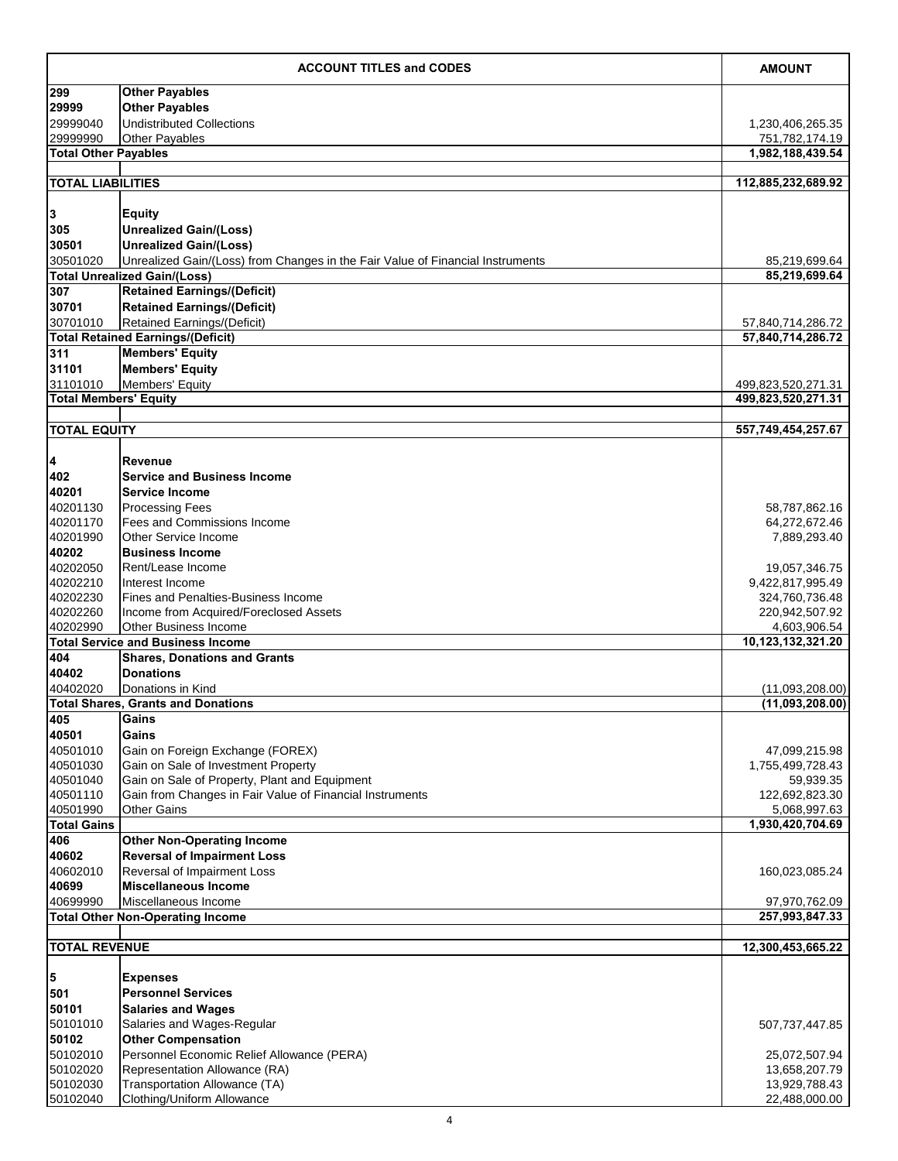|                              | <b>ACCOUNT TITLES and CODES</b>                                                | <b>AMOUNT</b>                  |
|------------------------------|--------------------------------------------------------------------------------|--------------------------------|
| 299                          | <b>Other Payables</b>                                                          |                                |
| 29999                        | <b>Other Payables</b>                                                          |                                |
| 29999040                     | <b>Undistributed Collections</b>                                               | 1,230,406,265.35               |
| 29999990                     | <b>Other Payables</b>                                                          | 751,782,174.19                 |
| <b>Total Other Payables</b>  |                                                                                | 1,982,188,439.54               |
| <b>TOTAL LIABILITIES</b>     |                                                                                | 112,885,232,689.92             |
|                              |                                                                                |                                |
| $\overline{\mathbf{3}}$      | <b>Equity</b>                                                                  |                                |
| 305                          | <b>Unrealized Gain/(Loss)</b>                                                  |                                |
| 30501                        | <b>Unrealized Gain/(Loss)</b>                                                  |                                |
| 30501020                     | Unrealized Gain/(Loss) from Changes in the Fair Value of Financial Instruments | 85,219,699.64                  |
|                              | <b>Total Unrealized Gain/(Loss)</b>                                            | 85,219,699.64                  |
| 307                          | <b>Retained Earnings/(Deficit)</b>                                             |                                |
| 30701<br>30701010            | <b>Retained Earnings/(Deficit)</b><br><b>Retained Earnings/(Deficit)</b>       | 57,840,714,286.72              |
|                              | <b>Total Retained Earnings/(Deficit)</b>                                       | 57,840,714,286.72              |
| 311                          | <b>Members' Equity</b>                                                         |                                |
| 31101                        | Members' Equity                                                                |                                |
| 31101010                     | Members' Equity                                                                | 499,823,520,271.31             |
| <b>Total Members' Equity</b> |                                                                                | 499,823,520,271.31             |
|                              |                                                                                |                                |
| <b>TOTAL EQUITY</b>          |                                                                                | 557,749,454,257.67             |
|                              |                                                                                |                                |
| $\overline{\mathbf{4}}$      | <b>Revenue</b>                                                                 |                                |
| 402                          | <b>Service and Business Income</b>                                             |                                |
| 40201                        | <b>Service Income</b>                                                          |                                |
| 40201130<br>40201170         | <b>Processing Fees</b><br><b>Fees and Commissions Income</b>                   | 58,787,862.16<br>64,272,672.46 |
| 40201990                     | <b>Other Service Income</b>                                                    | 7,889,293.40                   |
| 40202                        | <b>IBusiness Income</b>                                                        |                                |
| 40202050                     | Rent/Lease Income                                                              | 19,057,346.75                  |
| 40202210                     | Interest Income                                                                | 9,422,817,995.49               |
| 40202230                     | <b>Fines and Penalties-Business Income</b>                                     | 324,760,736.48                 |
| 40202260                     | Income from Acquired/Foreclosed Assets                                         | 220,942,507.92                 |
| 40202990                     | <b>Other Business Income</b>                                                   | 4,603,906.54                   |
|                              | <b>Total Service and Business Income</b>                                       | 10,123,132,321.20              |
| 404<br>40402                 | <b>Shares, Donations and Grants</b><br><b>Donations</b>                        |                                |
| 40402020                     | Donations in Kind                                                              | (11,093,208.00)                |
|                              | <b>Total Shares, Grants and Donations</b>                                      | (11,093,208.00)                |
| 405                          | Gains                                                                          |                                |
| 40501                        | Gains                                                                          |                                |
| 40501010                     | Gain on Foreign Exchange (FOREX)                                               | 47,099,215.98                  |
| 40501030                     | Gain on Sale of Investment Property                                            | 1,755,499,728.43               |
| 40501040                     | Gain on Sale of Property, Plant and Equipment                                  | 59,939.35                      |
| 40501110                     | Gain from Changes in Fair Value of Financial Instruments                       | 122,692,823.30                 |
| 40501990                     | <b>Other Gains</b>                                                             | 5,068,997.63                   |
| <b>Total Gains</b><br>406    | <b>Other Non-Operating Income</b>                                              | 1,930,420,704.69               |
| 40602                        | <b>Reversal of Impairment Loss</b>                                             |                                |
| 40602010                     | Reversal of Impairment Loss                                                    | 160,023,085.24                 |
| 40699                        | <b>Miscellaneous Income</b>                                                    |                                |
| 40699990                     | Miscellaneous Income                                                           | 97,970,762.09                  |
|                              | <b>Total Other Non-Operating Income</b>                                        | 257,993,847.33                 |
|                              |                                                                                |                                |
| <b>TOTAL REVENUE</b>         |                                                                                | 12,300,453,665.22              |
| $\overline{\mathbf{5}}$      | <b>Expenses</b>                                                                |                                |
| 501                          | <b>Personnel Services</b>                                                      |                                |
| 50101                        | <b>Salaries and Wages</b>                                                      |                                |
| 50101010                     | Salaries and Wages-Regular                                                     | 507,737,447.85                 |
| 50102                        | <b>Other Compensation</b>                                                      |                                |
| 50102010                     | Personnel Economic Relief Allowance (PERA)                                     | 25,072,507.94                  |
| 50102020                     | Representation Allowance (RA)                                                  | 13,658,207.79                  |
| 50102030                     | Transportation Allowance (TA)                                                  | 13,929,788.43                  |
| 50102040                     | Clothing/Uniform Allowance                                                     | 22,488,000.00                  |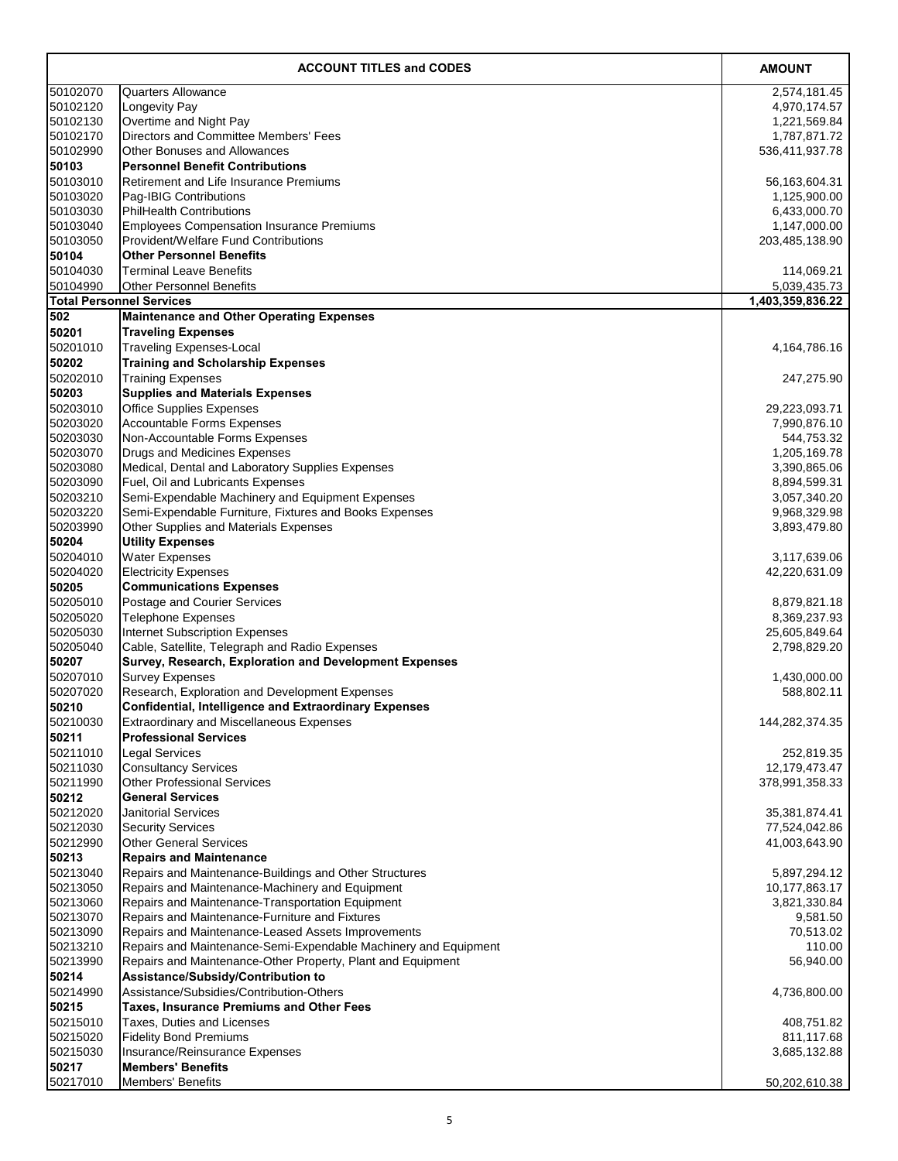|                      | <b>ACCOUNT TITLES and CODES</b>                                                                 | <b>AMOUNT</b>                  |
|----------------------|-------------------------------------------------------------------------------------------------|--------------------------------|
| 50102070             | <b>Quarters Allowance</b>                                                                       | 2,574,181.45                   |
| 50102120             | Longevity Pay                                                                                   | 4,970,174.57                   |
| 50102130             | Overtime and Night Pay                                                                          | 1,221,569.84                   |
| 50102170             | <b>Directors and Committee Members' Fees</b>                                                    | 1,787,871.72                   |
| 50102990             | <b>Other Bonuses and Allowances</b>                                                             | 536,411,937.78                 |
| 50103                | <b>Personnel Benefit Contributions</b>                                                          |                                |
| 50103010             | <b>Retirement and Life Insurance Premiums</b>                                                   | 56, 163, 604. 31               |
| 50103020             | Pag-IBIG Contributions                                                                          | 1,125,900.00                   |
| 50103030             | <b>PhilHealth Contributions</b>                                                                 | 6,433,000.70                   |
| 50103040<br>50103050 | <b>Employees Compensation Insurance Premiums</b><br><b>Provident/Welfare Fund Contributions</b> | 1,147,000.00<br>203,485,138.90 |
| 50104                | <b>Other Personnel Benefits</b>                                                                 |                                |
| 50104030             | <b>Terminal Leave Benefits</b>                                                                  | 114,069.21                     |
| 50104990             | <b>Other Personnel Benefits</b>                                                                 | 5,039,435.73                   |
|                      | <b>Total Personnel Services</b>                                                                 | 1,403,359,836.22               |
| 502                  | <b>Maintenance and Other Operating Expenses</b>                                                 |                                |
| 50201                | <b>Traveling Expenses</b>                                                                       |                                |
| 50201010             | <b>Traveling Expenses-Local</b>                                                                 | 4,164,786.16                   |
| 50202                | <b>Training and Scholarship Expenses</b>                                                        |                                |
| 50202010             | <b>Training Expenses</b>                                                                        | 247,275.90                     |
| 50203                | <b>Supplies and Materials Expenses</b>                                                          |                                |
| 50203010             | <b>Office Supplies Expenses</b>                                                                 | 29,223,093.71                  |
| 50203020             | <b>Accountable Forms Expenses</b>                                                               | 7,990,876.10                   |
| 50203030             | Non-Accountable Forms Expenses                                                                  | 544,753.32                     |
| 50203070             | <b>Drugs and Medicines Expenses</b>                                                             | 1,205,169.78                   |
| 50203080             | Medical, Dental and Laboratory Supplies Expenses                                                | 3,390,865.06                   |
| 50203090             | <b>Fuel, Oil and Lubricants Expenses</b>                                                        | 8,894,599.31                   |
| 50203210             | Semi-Expendable Machinery and Equipment Expenses                                                | 3,057,340.20                   |
| 50203220             | Semi-Expendable Furniture, Fixtures and Books Expenses                                          | 9,968,329.98                   |
| 50203990<br>50204    | <b>Other Supplies and Materials Expenses</b><br><b>Utility Expenses</b>                         | 3,893,479.80                   |
| 50204010             |                                                                                                 |                                |
| 50204020             | <b>Water Expenses</b><br><b>Electricity Expenses</b>                                            | 3,117,639.06<br>42,220,631.09  |
| 50205                | <b>Communications Expenses</b>                                                                  |                                |
| 50205010             | Postage and Courier Services                                                                    | 8,879,821.18                   |
| 50205020             | <b>Telephone Expenses</b>                                                                       | 8,369,237.93                   |
| 50205030             | <b>Internet Subscription Expenses</b>                                                           | 25,605,849.64                  |
| 50205040             | Cable, Satellite, Telegraph and Radio Expenses                                                  | 2,798,829.20                   |
| 50207                | <b>Survey, Research, Exploration and Development Expenses</b>                                   |                                |
| 50207010             | <b>Survey Expenses</b>                                                                          | 1,430,000.00                   |
| 50207020             | Research, Exploration and Development Expenses                                                  | 588,802.11                     |
| 50210                | <b>Confidential, Intelligence and Extraordinary Expenses</b>                                    |                                |
| 50210030             | <b>Extraordinary and Miscellaneous Expenses</b>                                                 | 144,282,374.35                 |
| 50211                | <b>Professional Services</b>                                                                    |                                |
| 50211010             | <b>Legal Services</b>                                                                           | 252,819.35                     |
| 50211030             | <b>Consultancy Services</b>                                                                     | 12,179,473.47                  |
| 50211990<br>50212    | <b>Other Professional Services</b><br><b>General Services</b>                                   | 378,991,358.33                 |
| 50212020             | <b>Janitorial Services</b>                                                                      | 35,381,874.41                  |
| 50212030             | <b>Security Services</b>                                                                        | 77,524,042.86                  |
| 50212990             | <b>Other General Services</b>                                                                   | 41,003,643.90                  |
| 50213                | <b>Repairs and Maintenance</b>                                                                  |                                |
| 50213040             | Repairs and Maintenance-Buildings and Other Structures                                          | 5,897,294.12                   |
| 50213050             | Repairs and Maintenance-Machinery and Equipment                                                 | 10,177,863.17                  |
| 50213060             | Repairs and Maintenance-Transportation Equipment                                                | 3,821,330.84                   |
| 50213070             | Repairs and Maintenance-Furniture and Fixtures                                                  | 9,581.50                       |
| 50213090             | Repairs and Maintenance-Leased Assets Improvements                                              | 70,513.02                      |
| 50213210             | Repairs and Maintenance-Semi-Expendable Machinery and Equipment                                 | 110.00                         |
| 50213990             | Repairs and Maintenance-Other Property, Plant and Equipment                                     | 56,940.00                      |
| 50214                | Assistance/Subsidy/Contribution to                                                              |                                |
| 50214990             | Assistance/Subsidies/Contribution-Others                                                        | 4,736,800.00                   |
| 50215                | <b>Taxes, Insurance Premiums and Other Fees</b>                                                 |                                |
| 50215010             | Taxes, Duties and Licenses                                                                      | 408,751.82                     |
| 50215020<br>50215030 | <b>Fidelity Bond Premiums</b><br>Insurance/Reinsurance Expenses                                 | 811,117.68                     |
| 50217                | <b>Members' Benefits</b>                                                                        | 3,685,132.88                   |
| 50217010             | Members' Benefits                                                                               | 50,202,610.38                  |